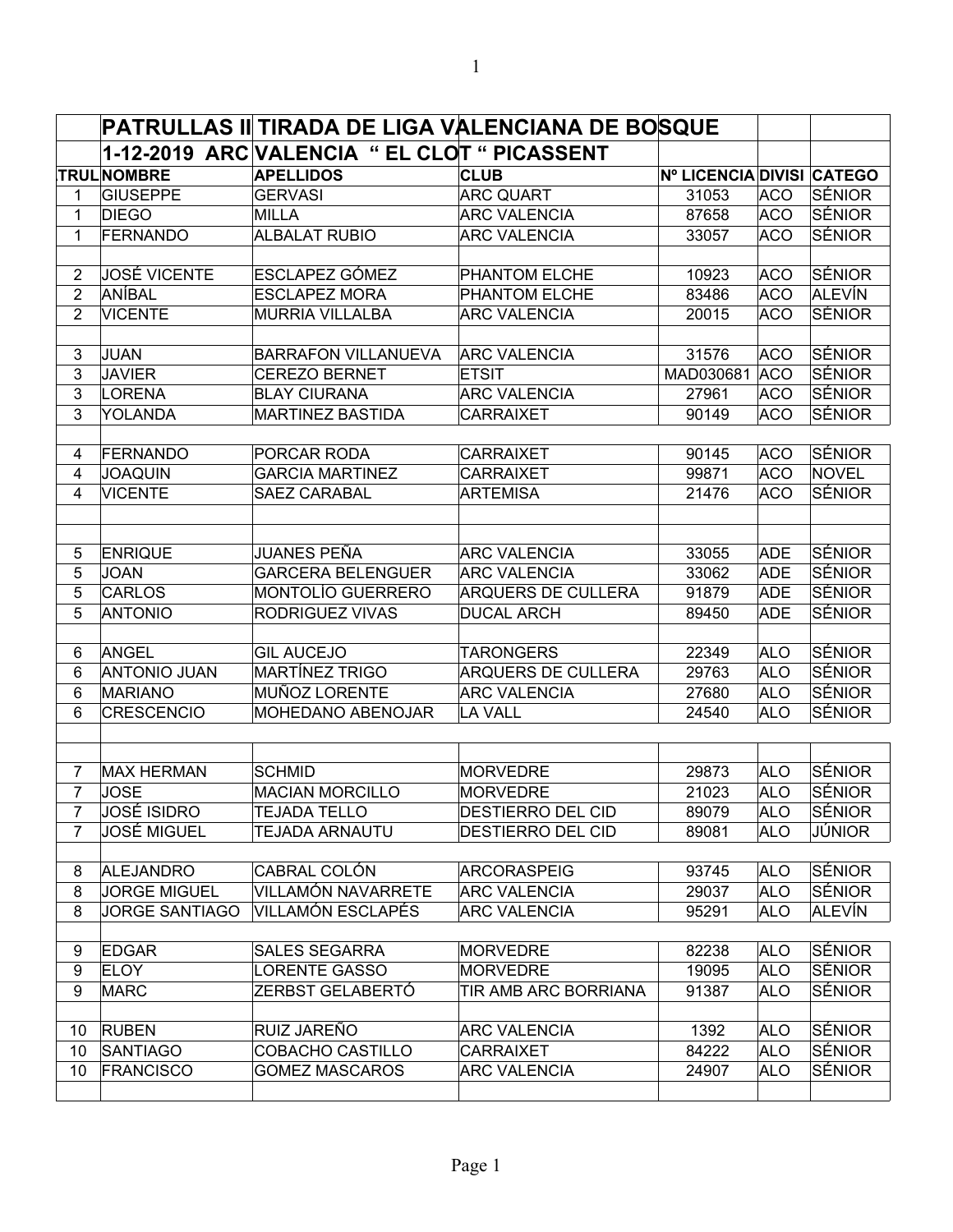|                                  |                                  | PATRULLAS II TIRADA DE LIGA VALENCIANA DE BOSQUE |                                             |                           |                          |                        |
|----------------------------------|----------------------------------|--------------------------------------------------|---------------------------------------------|---------------------------|--------------------------|------------------------|
|                                  |                                  | 1-12-2019 ARC VALENCIA " EL CLOT " PICASSENT     |                                             |                           |                          |                        |
|                                  | <b>TRULNOMBRE</b>                | <b>APELLIDOS</b>                                 | <b>CLUB</b>                                 | Nº LICENCIA DIVISI CATEGO |                          |                        |
| 1                                | <b>GIUSEPPE</b>                  | <b>GERVASI</b>                                   | <b>ARC QUART</b>                            | 31053                     | <b>ACO</b>               | ∣SÉNIOR                |
| 1                                | <b>DIEGO</b>                     | MILLA                                            | <b>ARC VALENCIA</b>                         | 87658                     | <b>ACO</b>               | ∣SÉNIOR                |
| $\mathbf 1$                      | <b>FERNANDO</b>                  | <b>ALBALAT RUBIO</b>                             | <b>ARC VALENCIA</b>                         | 33057                     | <b>ACO</b>               | ∣SÉNIOR                |
|                                  | <b>JOSÉ VICENTE</b>              | <b>ESCLAPEZ GÓMEZ</b>                            |                                             |                           |                          | ∣SÉNIOR                |
| $\overline{2}$<br>$\overline{2}$ | ANÍBAL                           |                                                  | <b>PHANTOM ELCHE</b>                        | 10923                     | <b>ACO</b>               | ALEVÍN                 |
| $\overline{2}$                   | <b>VICENTE</b>                   | <b>ESCLAPEZ MORA</b><br><b>MURRIA VILLALBA</b>   | <b>PHANTOM ELCHE</b><br><b>ARC VALENCIA</b> | 83486<br>20015            | <b>ACO</b><br><b>ACO</b> | SÉNIOR                 |
|                                  |                                  |                                                  |                                             |                           |                          |                        |
| 3                                | JUAN                             | <b>BARRAFON VILLANUEVA</b>                       | <b>ARC VALENCIA</b>                         | 31576                     | <b>ACO</b>               | ∣SÉNIOR                |
| 3                                | <b>JAVIER</b>                    | <b>CEREZO BERNET</b>                             | <b>ETSIT</b>                                | MAD030681                 | <b>ACO</b>               | ∣SÉNIOR                |
| 3                                | <b>LORENA</b>                    | <b>BLAY CIURANA</b>                              | <b>ARC VALENCIA</b>                         | 27961                     | <b>ACO</b>               | ∣SÉNIOR                |
| 3                                | YOLANDA                          | <b>MARTINEZ BASTIDA</b>                          | <b>CARRAIXET</b>                            | 90149                     | <b>ACO</b>               | <b>SÉNIOR</b>          |
|                                  |                                  |                                                  |                                             |                           |                          |                        |
| 4                                | FERNANDO                         | PORCAR RODA                                      | <b>CARRAIXET</b>                            | 90145                     | ACO                      | SÉNIOR                 |
| 4<br>4                           | <b>JOAQUIN</b><br><b>VICENTE</b> | <b>GARCIA MARTINEZ</b><br><b>SAEZ CARABAL</b>    | <b>CARRAIXET</b><br><b>ARTEMISA</b>         | 99871<br>21476            | <b>ACO</b><br><b>ACO</b> | NOVEL<br><b>SÉNIOR</b> |
|                                  |                                  |                                                  |                                             |                           |                          |                        |
| 5                                | <b>ENRIQUE</b>                   | JUANES PEÑA                                      | <b>ARC VALENCIA</b>                         | 33055                     | <b>ADE</b>               | ∣SÉNIOR                |
| 5                                | <b>JOAN</b>                      | <b>GARCERA BELENGUER</b>                         | <b>ARC VALENCIA</b>                         | 33062                     | <b>ADE</b>               | SÉNIOR                 |
| 5                                | <b>CARLOS</b>                    | <b>MONTOLÍO GUERRERO</b>                         | <b>ARQUERS DE CULLERA</b>                   | 91879                     | <b>ADE</b>               | SÉNIOR                 |
| 5                                | <b>ANTONIO</b>                   | <b>RODRIGUEZ VIVAS</b>                           | <b>DUCAL ARCH</b>                           | 89450                     | <b>ADE</b>               | <b>SÉNIOR</b>          |
|                                  |                                  |                                                  |                                             |                           |                          |                        |
| 6                                | <b>ANGEL</b>                     | <b>GIL AUCEJO</b>                                | <b>TARONGERS</b>                            | 22349                     | ALO                      | ISÉNIOR                |
| 6                                | <b>ANTONIO JUAN</b>              | MARTÍNEZ TRIGO                                   | <b>ARQUERS DE CULLERA</b>                   | 29763                     | ALO                      | ∣SÉNIOR                |
| 6                                | <b>MARIANO</b>                   | MUÑOZ LORENTE                                    | <b>ARC VALENCIA</b>                         | 27680                     | <b>ALO</b>               | SÉNIOR                 |
| 6                                | <b>CRESCENCIO</b>                | <b>MOHEDANO ABENOJAR</b>                         | <b>LA VALL</b>                              | 24540                     | <b>ALO</b>               | ∣SÉNIOR                |
|                                  |                                  |                                                  |                                             |                           |                          |                        |
| 7                                | <b>MAX HERMAN</b>                | <b>SCHMID</b>                                    | <b>MORVEDRE</b>                             | 29873                     | <b>ALO</b>               | <b>SÉNIOR</b>          |
| $\overline{7}$                   | <b>JOSE</b>                      | <b>MACIAN MORCILLO</b>                           | <b>MORVEDRE</b>                             | 21023                     | <b>ALO</b>               | <b>SÉNIOR</b>          |
| $\overline{7}$                   | <b>JOSÉ ISIDRO</b>               | <b>TEJADA TELLO</b>                              | <b>DESTIERRO DEL CID</b>                    | 89079                     | <b>ALO</b>               | <b>SÉNIOR</b>          |
| 7                                | <b>JOSÉ MIGUEL</b>               | <b>TEJADA ARNAUTU</b>                            | <b>DESTIERRO DEL CID</b>                    | 89081                     | <b>ALO</b>               | JÚNIOR                 |
| 8                                | <b>ALEJANDRO</b>                 | CABRAL COLÓN                                     | <b>ARCORASPEIG</b>                          | 93745                     | <b>ALO</b>               | SÉNIOR                 |
| 8                                | <b>JORGE MIGUEL</b>              | <b>VILLAMÓN NAVARRETE</b>                        | <b>ARC VALENCIA</b>                         | 29037                     | <b>ALO</b>               | SÉNIOR                 |
| 8                                | <b>JORGE SANTIAGO</b>            | VILLAMÓN ESCLAPÉS                                | <b>ARC VALENCIA</b>                         | 95291                     | <b>ALO</b>               | ALEVÍN                 |
| 9                                | <b>EDGAR</b>                     | <b>SALES SEGARRA</b>                             | <b>MORVEDRE</b>                             | 82238                     | <b>ALO</b>               | SÉNIOR                 |
| 9                                | <b>ELOY</b>                      | LORENTE GASSO                                    | <b>MORVEDRE</b>                             | 19095                     | <b>ALO</b>               | ∣SÉNIOR                |
| 9                                | <b>MARC</b>                      | ZERBST GELABERTÓ                                 | TIR AMB ARC BORRIANA                        | 91387                     | <b>ALO</b>               | SÉNIOR                 |
|                                  |                                  |                                                  |                                             |                           |                          |                        |
| 10                               | <b>RUBEN</b>                     | RUIZ JAREÑO                                      | <b>ARC VALENCIA</b>                         | 1392                      | <b>ALO</b>               | SÉNIOR                 |
| 10                               | <b>SANTIAGO</b>                  | <b>COBACHO CASTILLO</b>                          | <b>CARRAIXET</b>                            | 84222                     | <b>ALO</b>               | SÉNIOR                 |
| 10                               | <b>FRANCISCO</b>                 | <b>GOMEZ MASCAROS</b>                            | <b>ARC VALENCIA</b>                         | 24907                     | <b>ALO</b>               | SÉNIOR                 |